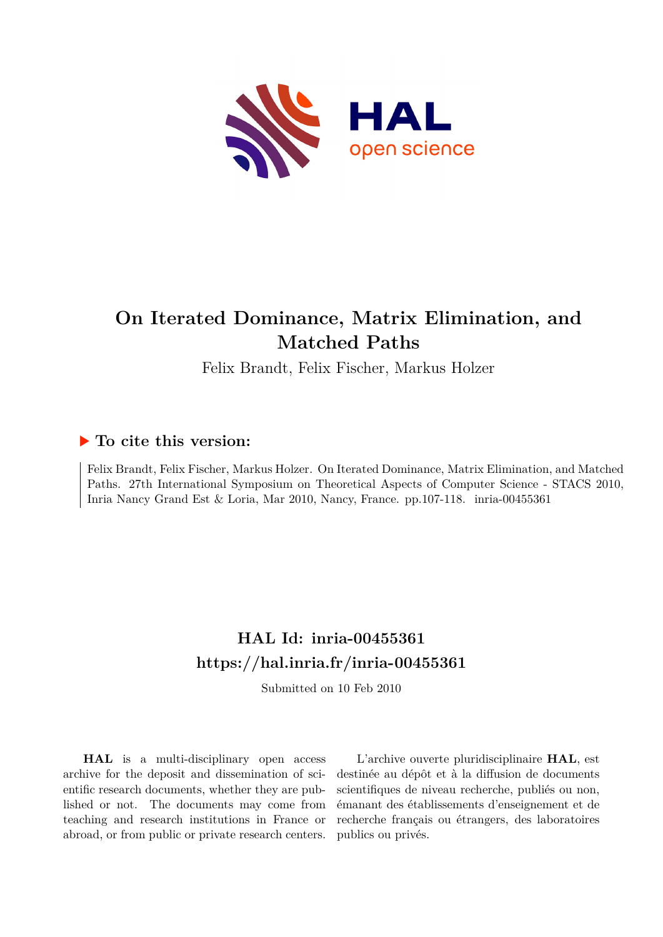

# **On Iterated Dominance, Matrix Elimination, and Matched Paths**

Felix Brandt, Felix Fischer, Markus Holzer

# **To cite this version:**

Felix Brandt, Felix Fischer, Markus Holzer. On Iterated Dominance, Matrix Elimination, and Matched Paths. 27th International Symposium on Theoretical Aspects of Computer Science - STACS 2010, Inria Nancy Grand Est & Loria, Mar 2010, Nancy, France. pp.107-118. inria-00455361

# **HAL Id: inria-00455361 <https://hal.inria.fr/inria-00455361>**

Submitted on 10 Feb 2010

**HAL** is a multi-disciplinary open access archive for the deposit and dissemination of scientific research documents, whether they are published or not. The documents may come from teaching and research institutions in France or abroad, or from public or private research centers.

L'archive ouverte pluridisciplinaire **HAL**, est destinée au dépôt et à la diffusion de documents scientifiques de niveau recherche, publiés ou non, émanant des établissements d'enseignement et de recherche français ou étrangers, des laboratoires publics ou privés.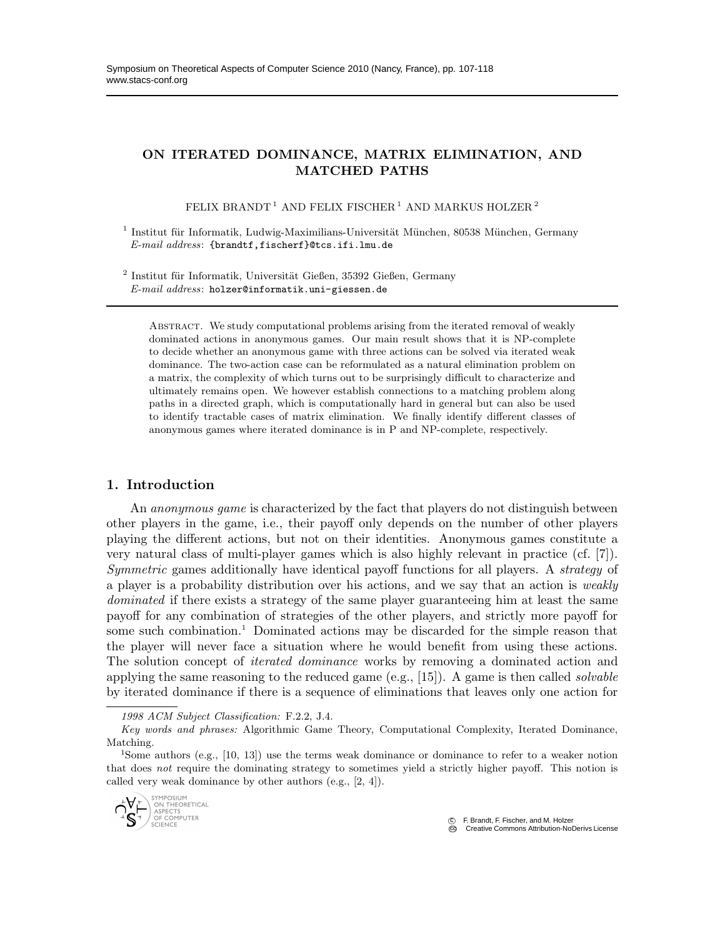# ON ITERATED DOMINANCE, MATRIX ELIMINATION, AND MATCHED PATHS

FELIX BRANDT<sup>1</sup> AND FELIX FISCHER<sup>1</sup> AND MARKUS HOLZER<sup>2</sup>

<sup>1</sup> Institut für Informatik, Ludwig-Maximilians-Universität München, 80538 München, Germany E-mail address: {brandtf,fischerf}@tcs.ifi.lmu.de

 $2$  Institut für Informatik, Universität Gießen, 35392 Gießen, Germany E-mail address: holzer@informatik.uni-giessen.de

Abstract. We study computational problems arising from the iterated removal of weakly dominated actions in anonymous games. Our main result shows that it is NP-complete to decide whether an anonymous game with three actions can be solved via iterated weak dominance. The two-action case can be reformulated as a natural elimination problem on a matrix, the complexity of which turns out to be surprisingly difficult to characterize and ultimately remains open. We however establish connections to a matching problem along paths in a directed graph, which is computationally hard in general but can also be used to identify tractable cases of matrix elimination. We finally identify different classes of anonymous games where iterated dominance is in P and NP-complete, respectively.

# 1. Introduction

An *anonymous game* is characterized by the fact that players do not distinguish between other players in the game, i.e., their payoff only depends on the number of other players playing the different actions, but not on their identities. Anonymous games constitute a very natural class of multi-player games which is also highly relevant in practice (cf. [7]). Symmetric games additionally have identical payoff functions for all players. A strategy of a player is a probability distribution over his actions, and we say that an action is weakly dominated if there exists a strategy of the same player guaranteeing him at least the same payoff for any combination of strategies of the other players, and strictly more payoff for some such combination.<sup>1</sup> Dominated actions may be discarded for the simple reason that the player will never face a situation where he would benefit from using these actions. The solution concept of iterated dominance works by removing a dominated action and applying the same reasoning to the reduced game (e.g., [15]). A game is then called *solvable* by iterated dominance if there is a sequence of eliminations that leaves only one action for

1998 ACM Subject Classification: F.2.2, J.4.

<sup>&</sup>lt;sup>1</sup>Some authors (e.g., [10, 13]) use the terms weak dominance or dominance to refer to a weaker notion that does not require the dominating strategy to sometimes yield a strictly higher payoff. This notion is called very weak dominance by other authors (e.g., [2, 4]).



c F. Brandt, F. Fischer, and M. Holzer

Key words and phrases: Algorithmic Game Theory, Computational Complexity, Iterated Dominance, Matching.

C<sub>G</sub> Creative Commons Attribution-NoDerivs License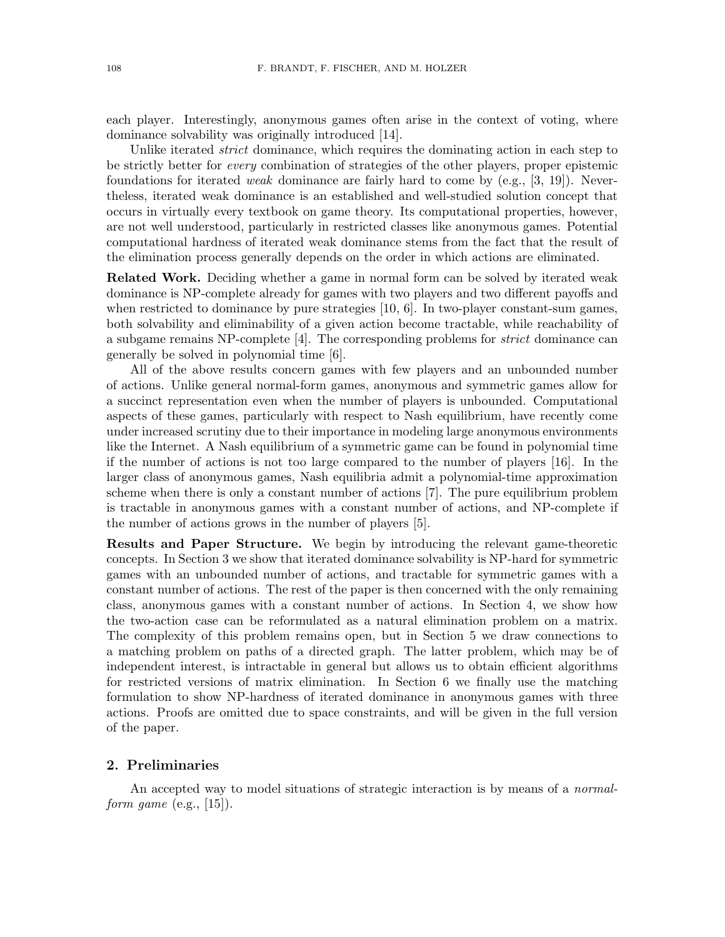each player. Interestingly, anonymous games often arise in the context of voting, where dominance solvability was originally introduced [14].

Unlike iterated *strict* dominance, which requires the dominating action in each step to be strictly better for every combination of strategies of the other players, proper epistemic foundations for iterated *weak* dominance are fairly hard to come by (e.g., [3, 19]). Nevertheless, iterated weak dominance is an established and well-studied solution concept that occurs in virtually every textbook on game theory. Its computational properties, however, are not well understood, particularly in restricted classes like anonymous games. Potential computational hardness of iterated weak dominance stems from the fact that the result of the elimination process generally depends on the order in which actions are eliminated.

Related Work. Deciding whether a game in normal form can be solved by iterated weak dominance is NP-complete already for games with two players and two different payoffs and when restricted to dominance by pure strategies  $[10, 6]$ . In two-player constant-sum games, both solvability and eliminability of a given action become tractable, while reachability of a subgame remains NP-complete [4]. The corresponding problems for strict dominance can generally be solved in polynomial time [6].

All of the above results concern games with few players and an unbounded number of actions. Unlike general normal-form games, anonymous and symmetric games allow for a succinct representation even when the number of players is unbounded. Computational aspects of these games, particularly with respect to Nash equilibrium, have recently come under increased scrutiny due to their importance in modeling large anonymous environments like the Internet. A Nash equilibrium of a symmetric game can be found in polynomial time if the number of actions is not too large compared to the number of players [16]. In the larger class of anonymous games, Nash equilibria admit a polynomial-time approximation scheme when there is only a constant number of actions [7]. The pure equilibrium problem is tractable in anonymous games with a constant number of actions, and NP-complete if the number of actions grows in the number of players [5].

Results and Paper Structure. We begin by introducing the relevant game-theoretic concepts. In Section 3 we show that iterated dominance solvability is NP-hard for symmetric games with an unbounded number of actions, and tractable for symmetric games with a constant number of actions. The rest of the paper is then concerned with the only remaining class, anonymous games with a constant number of actions. In Section 4, we show how the two-action case can be reformulated as a natural elimination problem on a matrix. The complexity of this problem remains open, but in Section 5 we draw connections to a matching problem on paths of a directed graph. The latter problem, which may be of independent interest, is intractable in general but allows us to obtain efficient algorithms for restricted versions of matrix elimination. In Section 6 we finally use the matching formulation to show NP-hardness of iterated dominance in anonymous games with three actions. Proofs are omitted due to space constraints, and will be given in the full version of the paper.

#### 2. Preliminaries

An accepted way to model situations of strategic interaction is by means of a *normal*form game  $(e.g., [15])$ .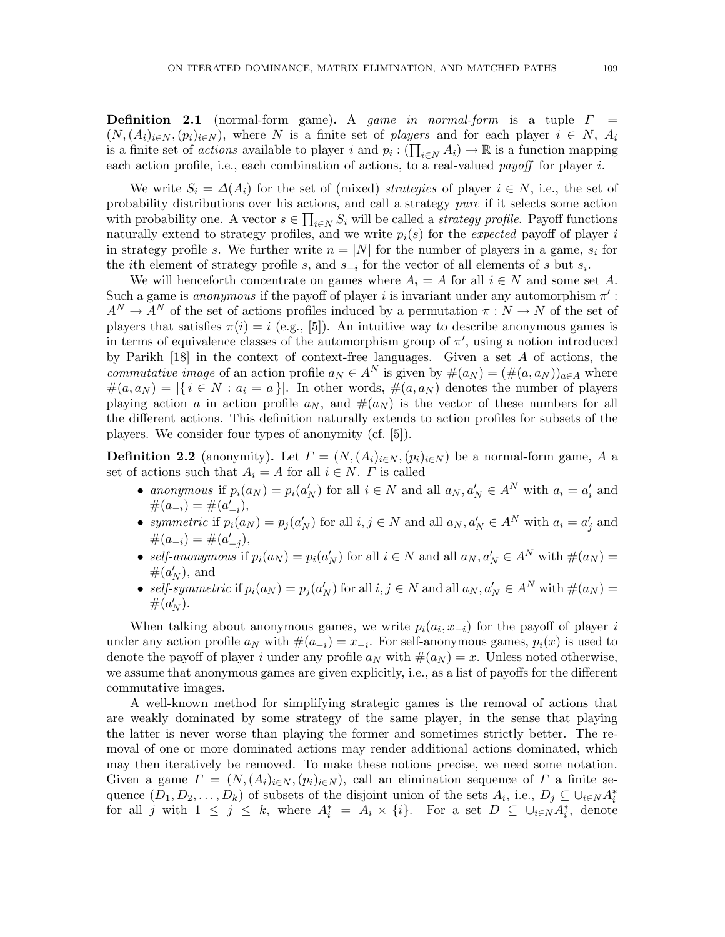**Definition 2.1** (normal-form game). A game in normal-form is a tuple  $\Gamma$  =  $(N,(A_i)_{i\in N},(p_i)_{i\in N})$ , where N is a finite set of players and for each player  $i\in N$ ,  $A_i$ is a finite set of *actions* available to player i and  $p_i: (\prod_{i\in N} A_i) \to \mathbb{R}$  is a function mapping each action profile, i.e., each combination of actions, to a real-valued payoff for player i.

We write  $S_i = \Delta(A_i)$  for the set of (mixed) strategies of player  $i \in N$ , i.e., the set of probability distributions over his actions, and call a strategy pure if it selects some action with probability one. A vector  $s \in \prod_{i \in N} S_i$  will be called a *strategy profile*. Payoff functions naturally extend to strategy profiles, and we write  $p_i(s)$  for the expected payoff of player i in strategy profile s. We further write  $n = |N|$  for the number of players in a game,  $s_i$  for the *i*th element of strategy profile s, and  $s_{-i}$  for the vector of all elements of s but  $s_i$ .

We will henceforth concentrate on games where  $A_i = A$  for all  $i \in N$  and some set A. Such a game is *anonymous* if the payoff of player i is invariant under any automorphism  $\pi'$ :  $A^N \to A^N$  of the set of actions profiles induced by a permutation  $\pi : N \to N$  of the set of players that satisfies  $\pi(i) = i$  (e.g., [5]). An intuitive way to describe anonymous games is in terms of equivalence classes of the automorphism group of  $\pi'$ , using a notion introduced by Parikh [18] in the context of context-free languages. Given a set A of actions, the *commutative image* of an action profile  $a_N \\in A^N$  is given by  $\#(a_N) = (\#(a, a_N))_{a \in A}$  where  $\#(a,a_N) = |\{ i \in N : a_i = a \}|$ . In other words,  $\#(a,a_N)$  denotes the number of players playing action a in action profile  $a_N$ , and  $\#(a_N)$  is the vector of these numbers for all the different actions. This definition naturally extends to action profiles for subsets of the players. We consider four types of anonymity (cf. [5]).

**Definition 2.2** (anonymity). Let  $\Gamma = (N, (A_i)_{i \in N}, (p_i)_{i \in N})$  be a normal-form game, A a set of actions such that  $A_i = A$  for all  $i \in N$ .  $\Gamma$  is called

- anonymous if  $p_i(a_N) = p_i(a'_N)$  for all  $i \in N$  and all  $a_N, a'_N \in A^N$  with  $a_i = a'_i$  and  $\#(a_{-i}) = \#(a'_{-i}),$
- symmetric if  $p_i(a_N) = p_j(a'_N)$  for all  $i, j \in N$  and all  $a_N, a'_N \in A^N$  with  $a_i = a'_j$  and  $\#(a_{-i}) = \#(a'_{-j}),$
- self-anonymous if  $p_i(a_N) = p_i(a'_N)$  for all  $i \in N$  and all  $a_N, a'_N \in A^N$  with  $\#(a_N) =$  $\#(a'_N)$ , and
- self-symmetric if  $p_i(a_N) = p_j(a'_N)$  for all  $i, j \in N$  and all  $a_N, a'_N \in A^N$  with  $\#(a_N) =$  $#(a'_N).$

When talking about anonymous games, we write  $p_i(a_i, x_{-i})$  for the payoff of player i under any action profile  $a_N$  with  $\#(a_{-i}) = x_{-i}$ . For self-anonymous games,  $p_i(x)$  is used to denote the payoff of player i under any profile  $a_N$  with  $\#(a_N) = x$ . Unless noted otherwise, we assume that anonymous games are given explicitly, i.e., as a list of payoffs for the different commutative images.

A well-known method for simplifying strategic games is the removal of actions that are weakly dominated by some strategy of the same player, in the sense that playing the latter is never worse than playing the former and sometimes strictly better. The removal of one or more dominated actions may render additional actions dominated, which may then iteratively be removed. To make these notions precise, we need some notation. Given a game  $\Gamma = (N,(A_i)_{i\in N},(p_i)_{i\in N})$ , call an elimination sequence of  $\Gamma$  a finite sequence  $(D_1, D_2, \ldots, D_k)$  of subsets of the disjoint union of the sets  $A_i$ , i.e.,  $D_j \subseteq \bigcup_{i \in N} A_i^*$ for all j with  $1 \leq j \leq k$ , where  $A_i^* = A_i \times \{i\}$ . For a set  $D \subseteq \bigcup_{i \in N} A_i^*$ , denote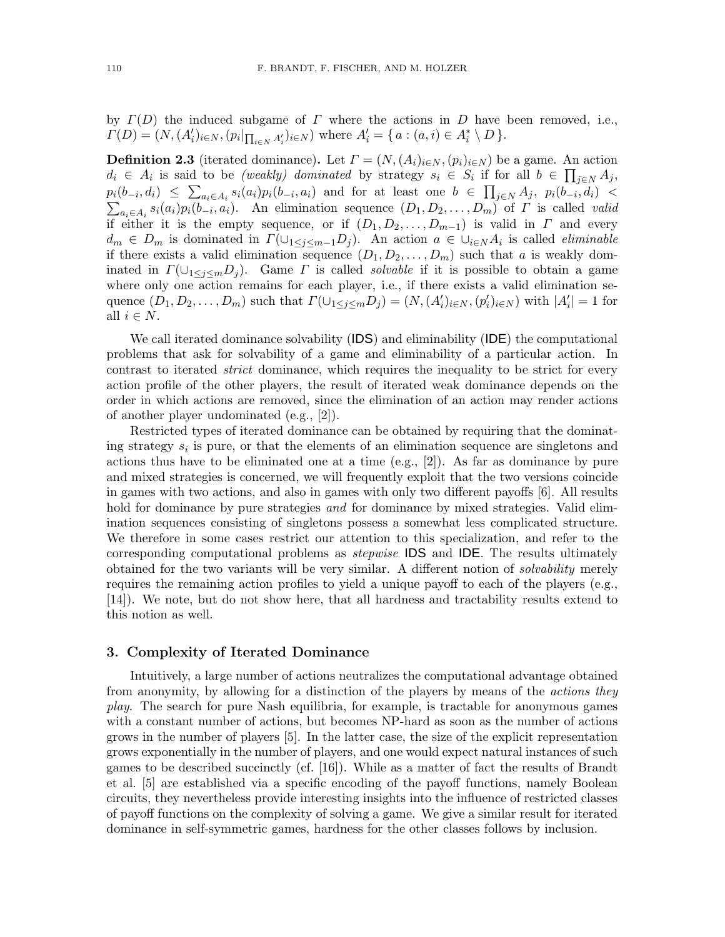by  $\Gamma(D)$  the induced subgame of  $\Gamma$  where the actions in D have been removed, i.e.,  $\Gamma(D) = (N, (A'_i)_{i \in N}, (p_i|_{\prod_{i \in N} A'_i})_{i \in N})$  where  $A'_i = \{ a : (a, i) \in A^*_i \setminus D \}.$ 

**Definition 2.3** (iterated dominance). Let  $\Gamma = (N, (A_i)_{i \in N}, (p_i)_{i \in N})$  be a game. An action  $d_i \in A_i$  is said to be *(weakly)* dominated by strategy  $s_i \in S_i$  if for all  $b \in \prod_{j \in N} A_j$ ,  $p_i(b_{-i}, d_i) \leq \sum_{a_i \in A_i} s_i(a_i) p_i(b_{-i}, a_i)$  and for at least one  $b \in \prod_{j \in N} A_j$ ,  $p_i(b_{-i}, d_i)$  $\sum_{a_i \in A_i} s_i(a_i) p_i(b_{-i}, a_i)$ . An elimination sequence  $(D_1, D_2, \ldots, D_m)$  of  $\Gamma$  is called valid if either it is the empty sequence, or if  $(D_1, D_2, \ldots, D_{m-1})$  is valid in  $\Gamma$  and every  $d_m \in D_m$  is dominated in  $\Gamma(\cup_{1 \leq j \leq m-1} D_j)$ . An action  $a \in \cup_{i \in N} A_i$  is called *eliminable* if there exists a valid elimination sequence  $(D_1, D_2, \ldots, D_m)$  such that a is weakly dominated in  $\Gamma(\cup_{1\leq i\leq m}D_i)$ . Game  $\Gamma$  is called *solvable* if it is possible to obtain a game where only one action remains for each player, i.e., if there exists a valid elimination sequence  $(D_1, D_2, \ldots, D_m)$  such that  $\Gamma(\cup_{1 \leq j \leq m} D_j) = (N, (A'_i)_{i \in N}, (p'_i)_{i \in N})$  with  $|A'_i| = 1$  for all  $i \in N$ .

We call iterated dominance solvability (**IDS**) and eliminability (**IDE**) the computational problems that ask for solvability of a game and eliminability of a particular action. In contrast to iterated strict dominance, which requires the inequality to be strict for every action profile of the other players, the result of iterated weak dominance depends on the order in which actions are removed, since the elimination of an action may render actions of another player undominated (e.g., [2]).

Restricted types of iterated dominance can be obtained by requiring that the dominating strategy  $s_i$  is pure, or that the elements of an elimination sequence are singletons and actions thus have to be eliminated one at a time  $(e.g., [2])$ . As far as dominance by pure and mixed strategies is concerned, we will frequently exploit that the two versions coincide in games with two actions, and also in games with only two different payoffs [6]. All results hold for dominance by pure strategies *and* for dominance by mixed strategies. Valid elimination sequences consisting of singletons possess a somewhat less complicated structure. We therefore in some cases restrict our attention to this specialization, and refer to the corresponding computational problems as stepwise IDS and IDE. The results ultimately obtained for the two variants will be very similar. A different notion of solvability merely requires the remaining action profiles to yield a unique payoff to each of the players (e.g., [14]). We note, but do not show here, that all hardness and tractability results extend to this notion as well.

### 3. Complexity of Iterated Dominance

Intuitively, a large number of actions neutralizes the computational advantage obtained from anonymity, by allowing for a distinction of the players by means of the actions they play. The search for pure Nash equilibria, for example, is tractable for anonymous games with a constant number of actions, but becomes NP-hard as soon as the number of actions grows in the number of players [5]. In the latter case, the size of the explicit representation grows exponentially in the number of players, and one would expect natural instances of such games to be described succinctly (cf. [16]). While as a matter of fact the results of Brandt et al. [5] are established via a specific encoding of the payoff functions, namely Boolean circuits, they nevertheless provide interesting insights into the influence of restricted classes of payoff functions on the complexity of solving a game. We give a similar result for iterated dominance in self-symmetric games, hardness for the other classes follows by inclusion.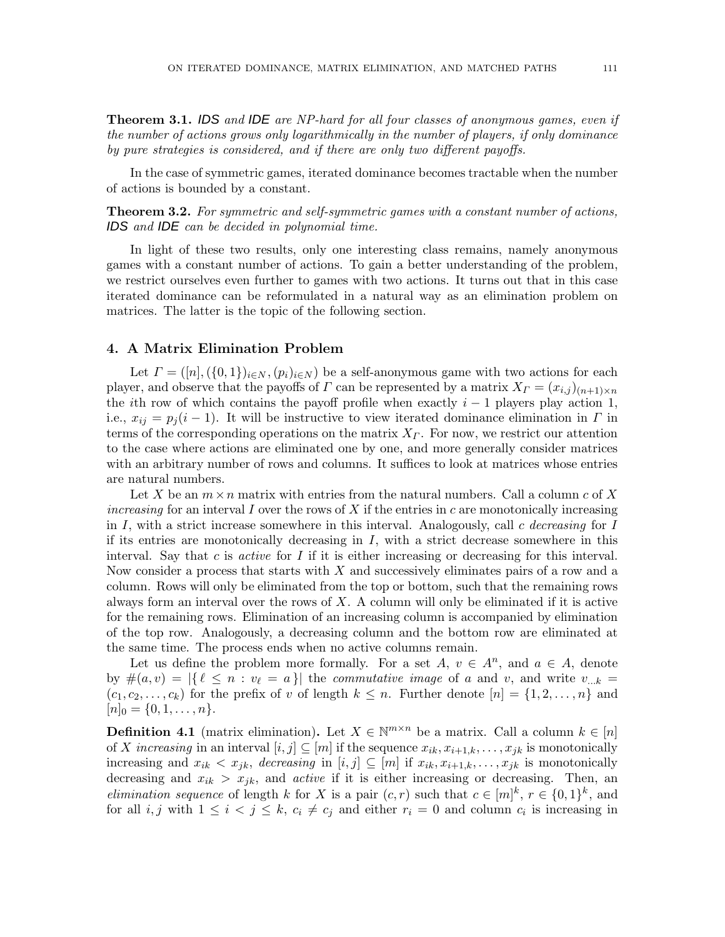Theorem 3.1. IDS and IDE are NP-hard for all four classes of anonymous games, even if the number of actions grows only logarithmically in the number of players, if only dominance by pure strategies is considered, and if there are only two different payoffs.

In the case of symmetric games, iterated dominance becomes tractable when the number of actions is bounded by a constant.

**Theorem 3.2.** For symmetric and self-symmetric games with a constant number of actions, IDS and IDE can be decided in polynomial time.

In light of these two results, only one interesting class remains, namely anonymous games with a constant number of actions. To gain a better understanding of the problem, we restrict ourselves even further to games with two actions. It turns out that in this case iterated dominance can be reformulated in a natural way as an elimination problem on matrices. The latter is the topic of the following section.

# 4. A Matrix Elimination Problem

Let  $\Gamma = ([n], (\{0, 1\})_{i \in N}, (p_i)_{i \in N})$  be a self-anonymous game with two actions for each player, and observe that the payoffs of  $\Gamma$  can be represented by a matrix  $X_{\Gamma} = (x_{i,j})_{(n+1)\times n}$ the *i*th row of which contains the payoff profile when exactly  $i - 1$  players play action 1, i.e.,  $x_{ij} = p_i (i-1)$ . It will be instructive to view iterated dominance elimination in Γ in terms of the corresponding operations on the matrix  $X_{\Gamma}$ . For now, we restrict our attention to the case where actions are eliminated one by one, and more generally consider matrices with an arbitrary number of rows and columns. It suffices to look at matrices whose entries are natural numbers.

Let X be an  $m \times n$  matrix with entries from the natural numbers. Call a column c of X increasing for an interval I over the rows of X if the entries in c are monotonically increasing in I, with a strict increase somewhere in this interval. Analogously, call c decreasing for I if its entries are monotonically decreasing in  $I$ , with a strict decrease somewhere in this interval. Say that c is *active* for  $I$  if it is either increasing or decreasing for this interval. Now consider a process that starts with  $X$  and successively eliminates pairs of a row and a column. Rows will only be eliminated from the top or bottom, such that the remaining rows always form an interval over the rows of  $X$ . A column will only be eliminated if it is active for the remaining rows. Elimination of an increasing column is accompanied by elimination of the top row. Analogously, a decreasing column and the bottom row are eliminated at the same time. The process ends when no active columns remain.

Let us define the problem more formally. For a set  $A, v \in A^n$ , and  $a \in A$ , denote by  $\#(a, v) = |\{\ell \leq n : v_{\ell} = a\}|$  the *commutative image* of a and v, and write  $v_{\dots k} =$  $(c_1, c_2, \ldots, c_k)$  for the prefix of v of length  $k \leq n$ . Further denote  $[n] = \{1, 2, \ldots, n\}$  and  $[n]_0 = \{0, 1, \ldots, n\}.$ 

**Definition 4.1** (matrix elimination). Let  $X \in \mathbb{N}^{m \times n}$  be a matrix. Call a column  $k \in [n]$ of X increasing in an interval  $[i, j] \subseteq [m]$  if the sequence  $x_{ik}, x_{i+1,k}, \ldots, x_{jk}$  is monotonically increasing and  $x_{ik} < x_{jk}$ , decreasing in  $[i, j] \subseteq [m]$  if  $x_{ik}, x_{i+1,k}, \ldots, x_{jk}$  is monotonically decreasing and  $x_{ik} > x_{jk}$ , and *active* if it is either increasing or decreasing. Then, an *elimination sequence* of length k for X is a pair  $(c, r)$  such that  $c \in [m]^k$ ,  $r \in \{0, 1\}^k$ , and for all  $i, j$  with  $1 \leq i < j \leq k$ ,  $c_i \neq c_j$  and either  $r_i = 0$  and column  $c_i$  is increasing in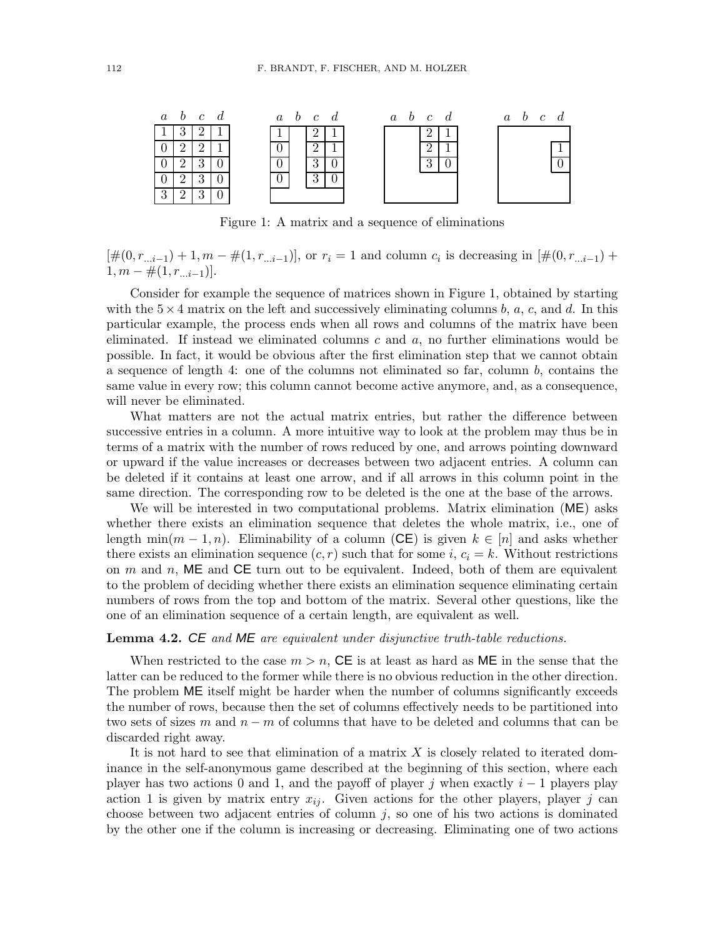

Figure 1: A matrix and a sequence of eliminations

 $[\#(0, r_{...i-1}) + 1, m - \#(1, r_{...i-1})],$  or  $r_i = 1$  and column  $c_i$  is decreasing in  $[\#(0, r_{...i-1}) +$  $1, m - \#(1, r_{...i-1})$ ].

Consider for example the sequence of matrices shown in Figure 1, obtained by starting with the  $5\times 4$  matrix on the left and successively eliminating columns b, a, c, and d. In this particular example, the process ends when all rows and columns of the matrix have been eliminated. If instead we eliminated columns c and  $a$ , no further eliminations would be possible. In fact, it would be obvious after the first elimination step that we cannot obtain a sequence of length 4: one of the columns not eliminated so far, column  $b$ , contains the same value in every row; this column cannot become active anymore, and, as a consequence, will never be eliminated.

What matters are not the actual matrix entries, but rather the difference between successive entries in a column. A more intuitive way to look at the problem may thus be in terms of a matrix with the number of rows reduced by one, and arrows pointing downward or upward if the value increases or decreases between two adjacent entries. A column can be deleted if it contains at least one arrow, and if all arrows in this column point in the same direction. The corresponding row to be deleted is the one at the base of the arrows.

We will be interested in two computational problems. Matrix elimination (ME) asks whether there exists an elimination sequence that deletes the whole matrix, i.e., one of length min $(m-1, n)$ . Eliminability of a column (CE) is given  $k \in [n]$  and asks whether there exists an elimination sequence  $(c, r)$  such that for some i,  $c_i = k$ . Without restrictions on  $m$  and  $n$ , ME and CE turn out to be equivalent. Indeed, both of them are equivalent to the problem of deciding whether there exists an elimination sequence eliminating certain numbers of rows from the top and bottom of the matrix. Several other questions, like the one of an elimination sequence of a certain length, are equivalent as well.

### **Lemma 4.2. CE** and  $ME$  are equivalent under disjunctive truth-table reductions.

When restricted to the case  $m > n$ . CE is at least as hard as ME in the sense that the latter can be reduced to the former while there is no obvious reduction in the other direction. The problem ME itself might be harder when the number of columns significantly exceeds the number of rows, because then the set of columns effectively needs to be partitioned into two sets of sizes m and  $n - m$  of columns that have to be deleted and columns that can be discarded right away.

It is not hard to see that elimination of a matrix  $X$  is closely related to iterated dominance in the self-anonymous game described at the beginning of this section, where each player has two actions 0 and 1, and the payoff of player j when exactly  $i-1$  players play action 1 is given by matrix entry  $x_{ij}$ . Given actions for the other players, player j can choose between two adjacent entries of column  $j$ , so one of his two actions is dominated by the other one if the column is increasing or decreasing. Eliminating one of two actions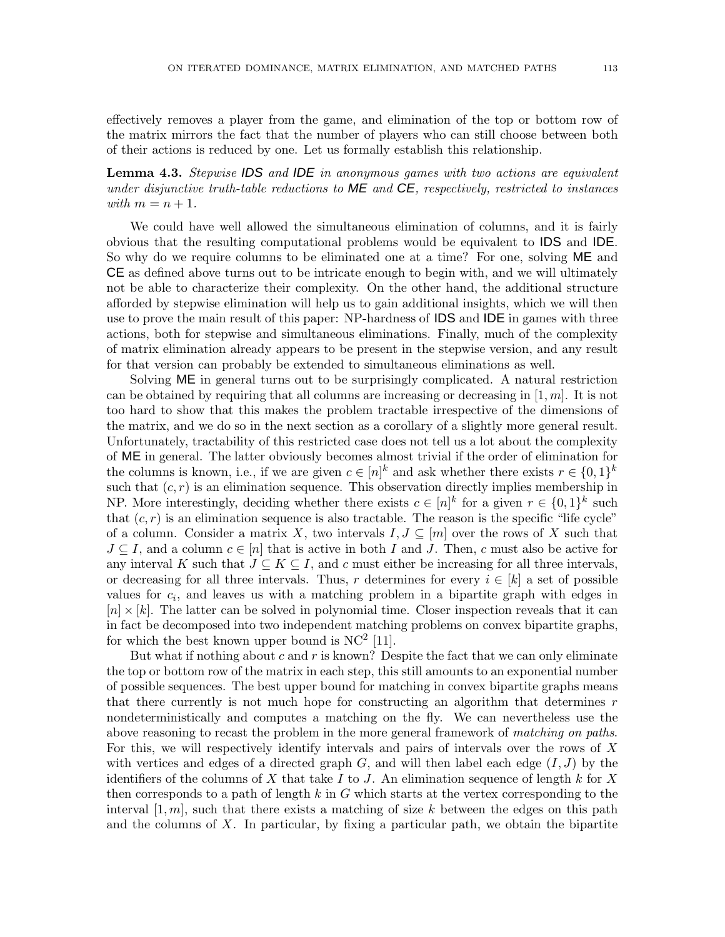effectively removes a player from the game, and elimination of the top or bottom row of the matrix mirrors the fact that the number of players who can still choose between both of their actions is reduced by one. Let us formally establish this relationship.

Lemma 4.3. Stepwise IDS and IDE in anonymous games with two actions are equivalent under disjunctive truth-table reductions to  $ME$  and  $CE$ , respectively, restricted to instances with  $m = n + 1$ .

We could have well allowed the simultaneous elimination of columns, and it is fairly obvious that the resulting computational problems would be equivalent to IDS and IDE. So why do we require columns to be eliminated one at a time? For one, solving ME and CE as defined above turns out to be intricate enough to begin with, and we will ultimately not be able to characterize their complexity. On the other hand, the additional structure afforded by stepwise elimination will help us to gain additional insights, which we will then use to prove the main result of this paper: NP-hardness of IDS and IDE in games with three actions, both for stepwise and simultaneous eliminations. Finally, much of the complexity of matrix elimination already appears to be present in the stepwise version, and any result for that version can probably be extended to simultaneous eliminations as well.

Solving ME in general turns out to be surprisingly complicated. A natural restriction can be obtained by requiring that all columns are increasing or decreasing in  $[1, m]$ . It is not too hard to show that this makes the problem tractable irrespective of the dimensions of the matrix, and we do so in the next section as a corollary of a slightly more general result. Unfortunately, tractability of this restricted case does not tell us a lot about the complexity of ME in general. The latter obviously becomes almost trivial if the order of elimination for the columns is known, i.e., if we are given  $c \in [n]^k$  and ask whether there exists  $r \in \{0,1\}^k$ such that  $(c, r)$  is an elimination sequence. This observation directly implies membership in NP. More interestingly, deciding whether there exists  $c \in [n]^k$  for a given  $r \in \{0,1\}^k$  such that  $(c, r)$  is an elimination sequence is also tractable. The reason is the specific "life cycle" of a column. Consider a matrix X, two intervals  $I, J \subseteq [m]$  over the rows of X such that  $J \subseteq I$ , and a column  $c \in [n]$  that is active in both I and J. Then, c must also be active for any interval K such that  $J \subseteq K \subseteq I$ , and c must either be increasing for all three intervals, or decreasing for all three intervals. Thus, r determines for every  $i \in [k]$  a set of possible values for  $c_i$ , and leaves us with a matching problem in a bipartite graph with edges in  $[n] \times [k]$ . The latter can be solved in polynomial time. Closer inspection reveals that it can in fact be decomposed into two independent matching problems on convex bipartite graphs, for which the best known upper bound is  $NC^2$  [11].

But what if nothing about c and r is known? Despite the fact that we can only eliminate the top or bottom row of the matrix in each step, this still amounts to an exponential number of possible sequences. The best upper bound for matching in convex bipartite graphs means that there currently is not much hope for constructing an algorithm that determines  $r$ nondeterministically and computes a matching on the fly. We can nevertheless use the above reasoning to recast the problem in the more general framework of matching on paths. For this, we will respectively identify intervals and pairs of intervals over the rows of X with vertices and edges of a directed graph  $G$ , and will then label each edge  $(I, J)$  by the identifiers of the columns of X that take I to J. An elimination sequence of length k for X then corresponds to a path of length  $k$  in  $G$  which starts at the vertex corresponding to the interval  $[1, m]$ , such that there exists a matching of size k between the edges on this path and the columns of  $X$ . In particular, by fixing a particular path, we obtain the bipartite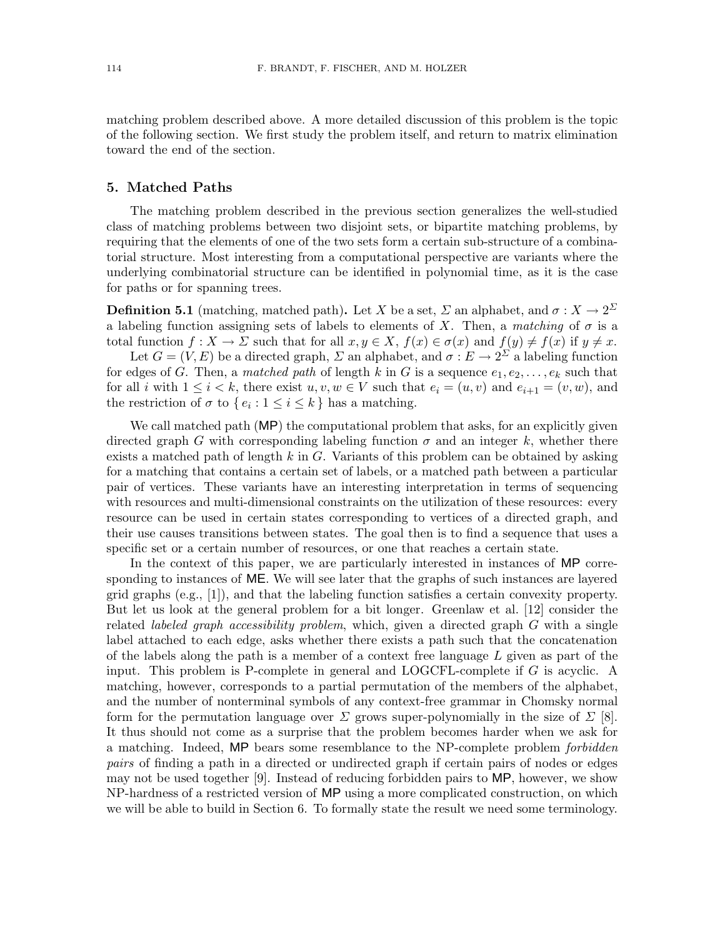matching problem described above. A more detailed discussion of this problem is the topic of the following section. We first study the problem itself, and return to matrix elimination toward the end of the section.

# 5. Matched Paths

The matching problem described in the previous section generalizes the well-studied class of matching problems between two disjoint sets, or bipartite matching problems, by requiring that the elements of one of the two sets form a certain sub-structure of a combinatorial structure. Most interesting from a computational perspective are variants where the underlying combinatorial structure can be identified in polynomial time, as it is the case for paths or for spanning trees.

**Definition 5.1** (matching, matched path). Let X be a set,  $\Sigma$  an alphabet, and  $\sigma: X \to 2^{\Sigma}$ a labeling function assigning sets of labels to elements of X. Then, a matching of  $\sigma$  is a total function  $f: X \to \Sigma$  such that for all  $x, y \in X$ ,  $f(x) \in \sigma(x)$  and  $f(y) \neq f(x)$  if  $y \neq x$ .

Let  $G = (V, E)$  be a directed graph,  $\Sigma$  an alphabet, and  $\sigma : E \to 2^{\Sigma}$  a labeling function for edges of G. Then, a matched path of length k in G is a sequence  $e_1, e_2, \ldots, e_k$  such that for all i with  $1 \leq i \leq k$ , there exist  $u, v, w \in V$  such that  $e_i = (u, v)$  and  $e_{i+1} = (v, w)$ , and the restriction of  $\sigma$  to  $\{e_i : 1 \le i \le k\}$  has a matching.

We call matched path (MP) the computational problem that asks, for an explicitly given directed graph G with corresponding labeling function  $\sigma$  and an integer k, whether there exists a matched path of length  $k$  in  $G$ . Variants of this problem can be obtained by asking for a matching that contains a certain set of labels, or a matched path between a particular pair of vertices. These variants have an interesting interpretation in terms of sequencing with resources and multi-dimensional constraints on the utilization of these resources: every resource can be used in certain states corresponding to vertices of a directed graph, and their use causes transitions between states. The goal then is to find a sequence that uses a specific set or a certain number of resources, or one that reaches a certain state.

In the context of this paper, we are particularly interested in instances of MP corresponding to instances of **ME**. We will see later that the graphs of such instances are layered grid graphs (e.g., [1]), and that the labeling function satisfies a certain convexity property. But let us look at the general problem for a bit longer. Greenlaw et al. [12] consider the related *labeled graph accessibility problem*, which, given a directed graph  $G$  with a single label attached to each edge, asks whether there exists a path such that the concatenation of the labels along the path is a member of a context free language  $L$  given as part of the input. This problem is P-complete in general and LOGCFL-complete if  $G$  is acyclic. A matching, however, corresponds to a partial permutation of the members of the alphabet, and the number of nonterminal symbols of any context-free grammar in Chomsky normal form for the permutation language over  $\Sigma$  grows super-polynomially in the size of  $\Sigma$  [8]. It thus should not come as a surprise that the problem becomes harder when we ask for a matching. Indeed, MP bears some resemblance to the NP-complete problem forbidden pairs of finding a path in a directed or undirected graph if certain pairs of nodes or edges may not be used together [9]. Instead of reducing forbidden pairs to MP, however, we show NP-hardness of a restricted version of MP using a more complicated construction, on which we will be able to build in Section 6. To formally state the result we need some terminology.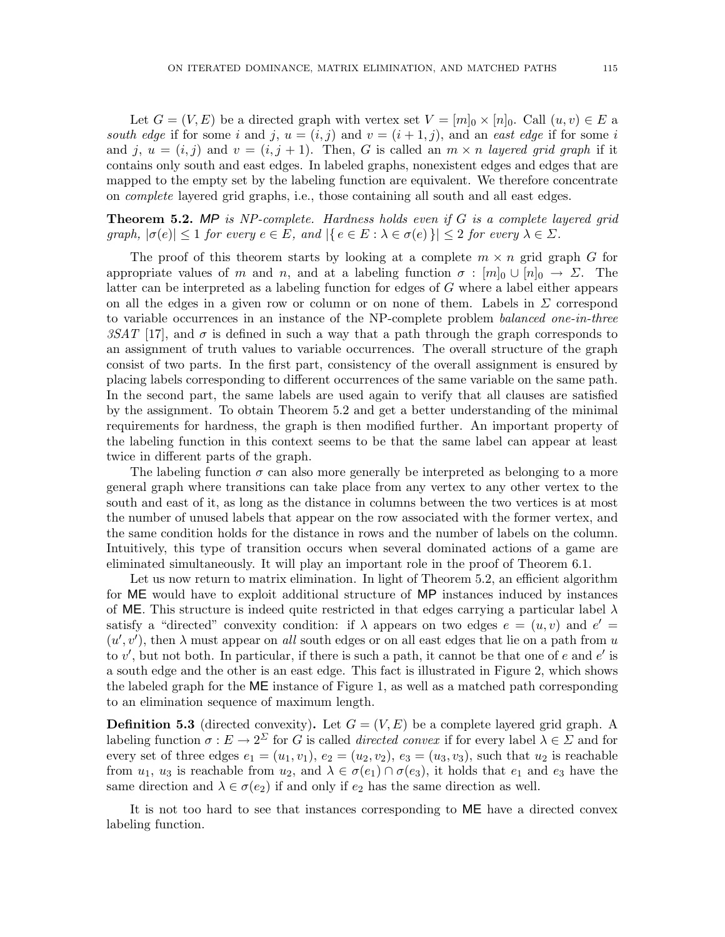Let  $G = (V, E)$  be a directed graph with vertex set  $V = [m]_0 \times [n]_0$ . Call  $(u, v) \in E$  a south edge if for some i and j,  $u = (i, j)$  and  $v = (i + 1, j)$ , and an east edge if for some i and j,  $u = (i, j)$  and  $v = (i, j + 1)$ . Then, G is called an  $m \times n$  layered grid graph if it contains only south and east edges. In labeled graphs, nonexistent edges and edges that are mapped to the empty set by the labeling function are equivalent. We therefore concentrate on complete layered grid graphs, i.e., those containing all south and all east edges.

**Theorem 5.2.** MP is NP-complete. Hardness holds even if G is a complete layered grid graph,  $|\sigma(e)| \leq 1$  for every  $e \in E$ , and  $|\{e \in E : \lambda \in \sigma(e)\}| \leq 2$  for every  $\lambda \in \Sigma$ .

The proof of this theorem starts by looking at a complete  $m \times n$  grid graph G for appropriate values of m and n, and at a labeling function  $\sigma : [m]_0 \cup [n]_0 \to \Sigma$ . The latter can be interpreted as a labeling function for edges of G where a label either appears on all the edges in a given row or column or on none of them. Labels in  $\Sigma$  correspond to variable occurrences in an instance of the NP-complete problem *balanced one-in-three* 3SAT [17], and  $\sigma$  is defined in such a way that a path through the graph corresponds to an assignment of truth values to variable occurrences. The overall structure of the graph consist of two parts. In the first part, consistency of the overall assignment is ensured by placing labels corresponding to different occurrences of the same variable on the same path. In the second part, the same labels are used again to verify that all clauses are satisfied by the assignment. To obtain Theorem 5.2 and get a better understanding of the minimal requirements for hardness, the graph is then modified further. An important property of the labeling function in this context seems to be that the same label can appear at least twice in different parts of the graph.

The labeling function  $\sigma$  can also more generally be interpreted as belonging to a more general graph where transitions can take place from any vertex to any other vertex to the south and east of it, as long as the distance in columns between the two vertices is at most the number of unused labels that appear on the row associated with the former vertex, and the same condition holds for the distance in rows and the number of labels on the column. Intuitively, this type of transition occurs when several dominated actions of a game are eliminated simultaneously. It will play an important role in the proof of Theorem 6.1.

Let us now return to matrix elimination. In light of Theorem 5.2, an efficient algorithm for ME would have to exploit additional structure of MP instances induced by instances of ME. This structure is indeed quite restricted in that edges carrying a particular label  $\lambda$ satisfy a "directed" convexity condition: if  $\lambda$  appears on two edges  $e = (u, v)$  and  $e' =$  $(u', v')$ , then  $\lambda$  must appear on all south edges or on all east edges that lie on a path from u to  $v'$ , but not both. In particular, if there is such a path, it cannot be that one of  $e$  and  $e'$  is a south edge and the other is an east edge. This fact is illustrated in Figure 2, which shows the labeled graph for the ME instance of Figure 1, as well as a matched path corresponding to an elimination sequence of maximum length.

**Definition 5.3** (directed convexity). Let  $G = (V, E)$  be a complete layered grid graph. A labeling function  $\sigma: E \to 2^{\Sigma}$  for G is called *directed convex* if for every label  $\lambda \in \Sigma$  and for every set of three edges  $e_1 = (u_1, v_1), e_2 = (u_2, v_2), e_3 = (u_3, v_3)$ , such that  $u_2$  is reachable from  $u_1, u_3$  is reachable from  $u_2$ , and  $\lambda \in \sigma(e_1) \cap \sigma(e_3)$ , it holds that  $e_1$  and  $e_3$  have the same direction and  $\lambda \in \sigma(e_2)$  if and only if  $e_2$  has the same direction as well.

It is not too hard to see that instances corresponding to ME have a directed convex labeling function.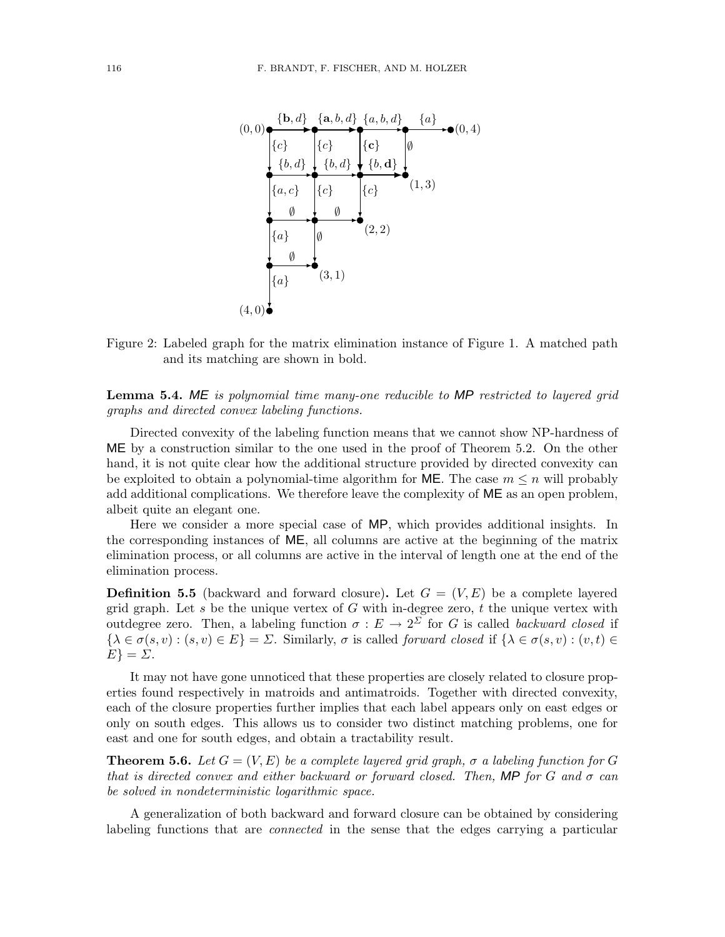

Figure 2: Labeled graph for the matrix elimination instance of Figure 1. A matched path and its matching are shown in bold.

Lemma 5.4. ME is polynomial time many-one reducible to MP restricted to layered grid graphs and directed convex labeling functions.

Directed convexity of the labeling function means that we cannot show NP-hardness of ME by a construction similar to the one used in the proof of Theorem 5.2. On the other hand, it is not quite clear how the additional structure provided by directed convexity can be exploited to obtain a polynomial-time algorithm for **ME**. The case  $m \leq n$  will probably add additional complications. We therefore leave the complexity of ME as an open problem, albeit quite an elegant one.

Here we consider a more special case of MP, which provides additional insights. In the corresponding instances of  $ME$ , all columns are active at the beginning of the matrix elimination process, or all columns are active in the interval of length one at the end of the elimination process.

**Definition 5.5** (backward and forward closure). Let  $G = (V, E)$  be a complete layered grid graph. Let s be the unique vertex of  $G$  with in-degree zero, t the unique vertex with outdegree zero. Then, a labeling function  $\sigma : E \to 2^{\Sigma}$  for G is called backward closed if  $\{\lambda \in \sigma(s, v) : (s, v) \in E\} = \Sigma$ . Similarly,  $\sigma$  is called forward closed if  $\{\lambda \in \sigma(s, v) : (v, t) \in$  $E$ } =  $\Sigma$ .

It may not have gone unnoticed that these properties are closely related to closure properties found respectively in matroids and antimatroids. Together with directed convexity, each of the closure properties further implies that each label appears only on east edges or only on south edges. This allows us to consider two distinct matching problems, one for east and one for south edges, and obtain a tractability result.

**Theorem 5.6.** Let  $G = (V, E)$  be a complete layered grid graph,  $\sigma$  a labeling function for G that is directed convex and either backward or forward closed. Then, **MP** for G and  $\sigma$  can be solved in nondeterministic logarithmic space.

A generalization of both backward and forward closure can be obtained by considering labeling functions that are *connected* in the sense that the edges carrying a particular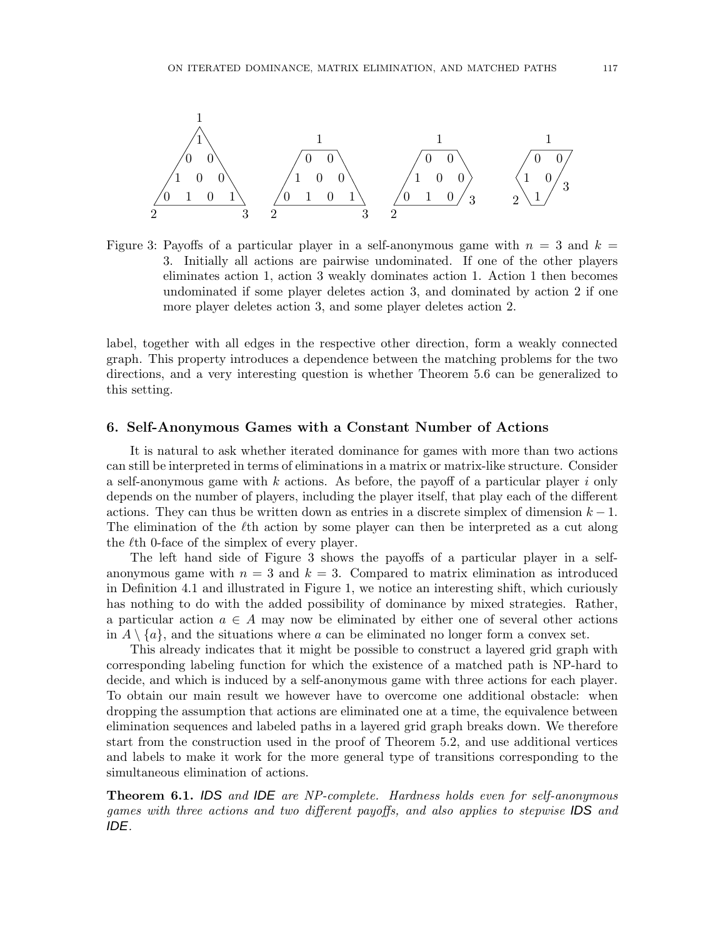

Figure 3: Payoffs of a particular player in a self-anonymous game with  $n = 3$  and  $k =$ 3. Initially all actions are pairwise undominated. If one of the other players eliminates action 1, action 3 weakly dominates action 1. Action 1 then becomes undominated if some player deletes action 3, and dominated by action 2 if one more player deletes action 3, and some player deletes action 2.

label, together with all edges in the respective other direction, form a weakly connected graph. This property introduces a dependence between the matching problems for the two directions, and a very interesting question is whether Theorem 5.6 can be generalized to this setting.

#### 6. Self-Anonymous Games with a Constant Number of Actions

It is natural to ask whether iterated dominance for games with more than two actions can still be interpreted in terms of eliminations in a matrix or matrix-like structure. Consider a self-anonymous game with  $k$  actions. As before, the payoff of a particular player i only depends on the number of players, including the player itself, that play each of the different actions. They can thus be written down as entries in a discrete simplex of dimension  $k-1$ . The elimination of the  $\ell$ th action by some player can then be interpreted as a cut along the  $\ell$ th 0-face of the simplex of every player.

The left hand side of Figure 3 shows the payoffs of a particular player in a selfanonymous game with  $n = 3$  and  $k = 3$ . Compared to matrix elimination as introduced in Definition 4.1 and illustrated in Figure 1, we notice an interesting shift, which curiously has nothing to do with the added possibility of dominance by mixed strategies. Rather, a particular action  $a \in A$  may now be eliminated by either one of several other actions in  $A \setminus \{a\}$ , and the situations where a can be eliminated no longer form a convex set.

This already indicates that it might be possible to construct a layered grid graph with corresponding labeling function for which the existence of a matched path is NP-hard to decide, and which is induced by a self-anonymous game with three actions for each player. To obtain our main result we however have to overcome one additional obstacle: when dropping the assumption that actions are eliminated one at a time, the equivalence between elimination sequences and labeled paths in a layered grid graph breaks down. We therefore start from the construction used in the proof of Theorem 5.2, and use additional vertices and labels to make it work for the more general type of transitions corresponding to the simultaneous elimination of actions.

**Theorem 6.1. IDS** and **IDE** are NP-complete. Hardness holds even for self-anonymous games with three actions and two different payoffs, and also applies to stepwise IDS and IDE.